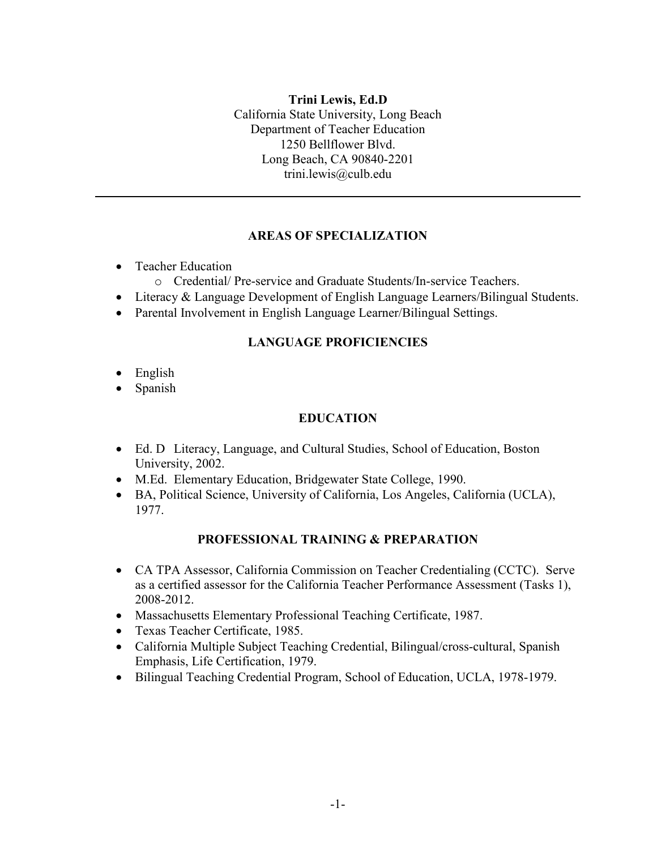# **Trini Lewis, Ed.D**

California State University, Long Beach Department of Teacher Education 1250 Bellflower Blvd. Long Beach, CA 90840-2201 trini.lewis@culb.edu

#### **AREAS OF SPECIALIZATION**

- Teacher Education
	- o Credential/ Pre-service and Graduate Students/In-service Teachers.
- Literacy & Language Development of English Language Learners/Bilingual Students.
- Parental Involvement in English Language Learner/Bilingual Settings.

#### **LANGUAGE PROFICIENCIES**

- English
- Spanish

#### **EDUCATION**

- Ed. D Literacy, Language, and Cultural Studies, School of Education, Boston University, 2002.
- M.Ed. Elementary Education, Bridgewater State College, 1990.
- BA, Political Science, University of California, Los Angeles, California (UCLA), 1977.

#### **PROFESSIONAL TRAINING & PREPARATION**

- CA TPA Assessor, California Commission on Teacher Credentialing (CCTC). Serve as a certified assessor for the California Teacher Performance Assessment (Tasks 1), 2008-2012.
- Massachusetts Elementary Professional Teaching Certificate, 1987.
- Texas Teacher Certificate, 1985.
- California Multiple Subject Teaching Credential, Bilingual/cross-cultural, Spanish Emphasis, Life Certification, 1979.
- Bilingual Teaching Credential Program, School of Education, UCLA, 1978-1979.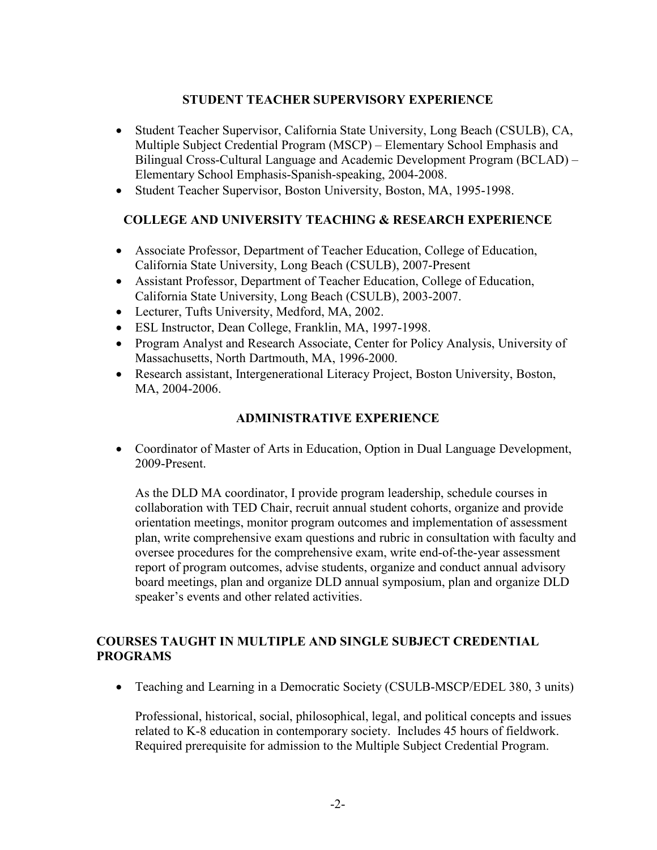### **STUDENT TEACHER SUPERVISORY EXPERIENCE**

- Student Teacher Supervisor, California State University, Long Beach (CSULB), CA, Multiple Subject Credential Program (MSCP) – Elementary School Emphasis and Bilingual Cross-Cultural Language and Academic Development Program (BCLAD) – Elementary School Emphasis-Spanish-speaking, 2004-2008.
- Student Teacher Supervisor, Boston University, Boston, MA, 1995-1998.

### **COLLEGE AND UNIVERSITY TEACHING & RESEARCH EXPERIENCE**

- Associate Professor, Department of Teacher Education, College of Education, California State University, Long Beach (CSULB), 2007-Present
- Assistant Professor, Department of Teacher Education, College of Education, California State University, Long Beach (CSULB), 2003-2007.
- Lecturer, Tufts University, Medford, MA, 2002.
- ESL Instructor, Dean College, Franklin, MA, 1997-1998.
- Program Analyst and Research Associate, Center for Policy Analysis, University of Massachusetts, North Dartmouth, MA, 1996-2000.
- Research assistant, Intergenerational Literacy Project, Boston University, Boston, MA, 2004-2006.

### **ADMINISTRATIVE EXPERIENCE**

• Coordinator of Master of Arts in Education, Option in Dual Language Development, 2009-Present.

As the DLD MA coordinator, I provide program leadership, schedule courses in collaboration with TED Chair, recruit annual student cohorts, organize and provide orientation meetings, monitor program outcomes and implementation of assessment plan, write comprehensive exam questions and rubric in consultation with faculty and oversee procedures for the comprehensive exam, write end-of-the-year assessment report of program outcomes, advise students, organize and conduct annual advisory board meetings, plan and organize DLD annual symposium, plan and organize DLD speaker's events and other related activities.

### **COURSES TAUGHT IN MULTIPLE AND SINGLE SUBJECT CREDENTIAL PROGRAMS**

• Teaching and Learning in a Democratic Society (CSULB-MSCP/EDEL 380, 3 units)

Professional, historical, social, philosophical, legal, and political concepts and issues related to K-8 education in contemporary society. Includes 45 hours of fieldwork. Required prerequisite for admission to the Multiple Subject Credential Program.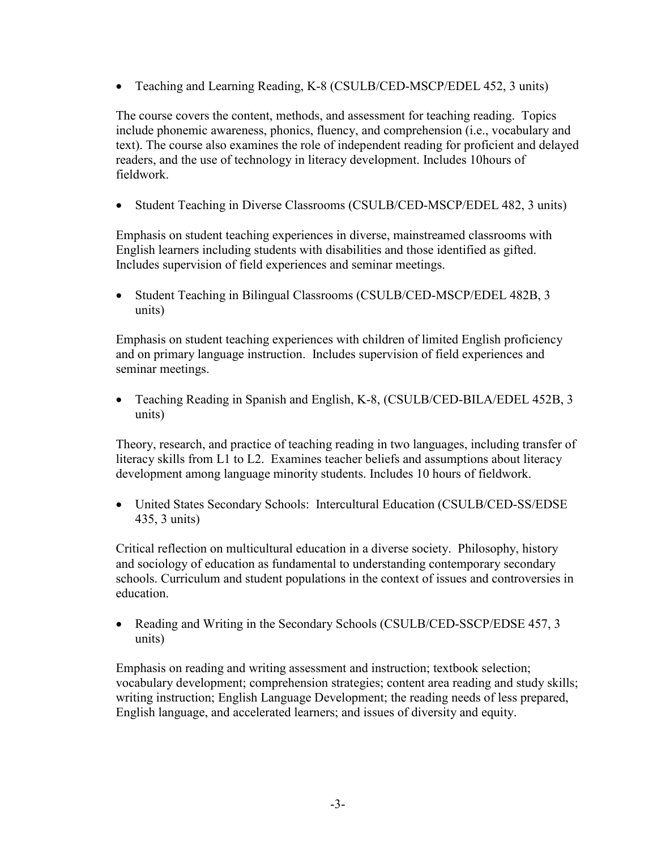• Teaching and Learning Reading, K-8 (CSULB/CED-MSCP/EDEL 452, 3 units)

The course covers the content, methods, and assessment for teaching reading. Topics include phonemic awareness, phonics, fluency, and comprehension (i.e., vocabulary and text). The course also examines the role of independent reading for proficient and delayed readers, and the use of technology in literacy development. Includes 10hours of fieldwork.

• Student Teaching in Diverse Classrooms (CSULB/CED-MSCP/EDEL 482, 3 units)

Emphasis on student teaching experiences in diverse, mainstreamed classrooms with English learners including students with disabilities and those identified as gifted. Includes supervision of field experiences and seminar meetings.

• Student Teaching in Bilingual Classrooms (CSULB/CED-MSCP/EDEL 482B, 3 units)

Emphasis on student teaching experiences with children of limited English proficiency and on primary language instruction. Includes supervision of field experiences and seminar meetings.

• Teaching Reading in Spanish and English, K-8, (CSULB/CED-BILA/EDEL 452B, 3 units)

Theory, research, and practice of teaching reading in two languages, including transfer of literacy skills from L1 to L2. Examines teacher beliefs and assumptions about literacy development among language minority students. Includes 10 hours of fieldwork.

• United States Secondary Schools: Intercultural Education (CSULB/CED-SS/EDSE 435, 3 units)

Critical reflection on multicultural education in a diverse society. Philosophy, history and sociology of education as fundamental to understanding contemporary secondary schools. Curriculum and student populations in the context of issues and controversies in education.

• Reading and Writing in the Secondary Schools (CSULB/CED-SSCP/EDSE 457, 3 units)

Emphasis on reading and writing assessment and instruction; textbook selection; vocabulary development; comprehension strategies; content area reading and study skills; writing instruction; English Language Development; the reading needs of less prepared, English language, and accelerated learners; and issues of diversity and equity.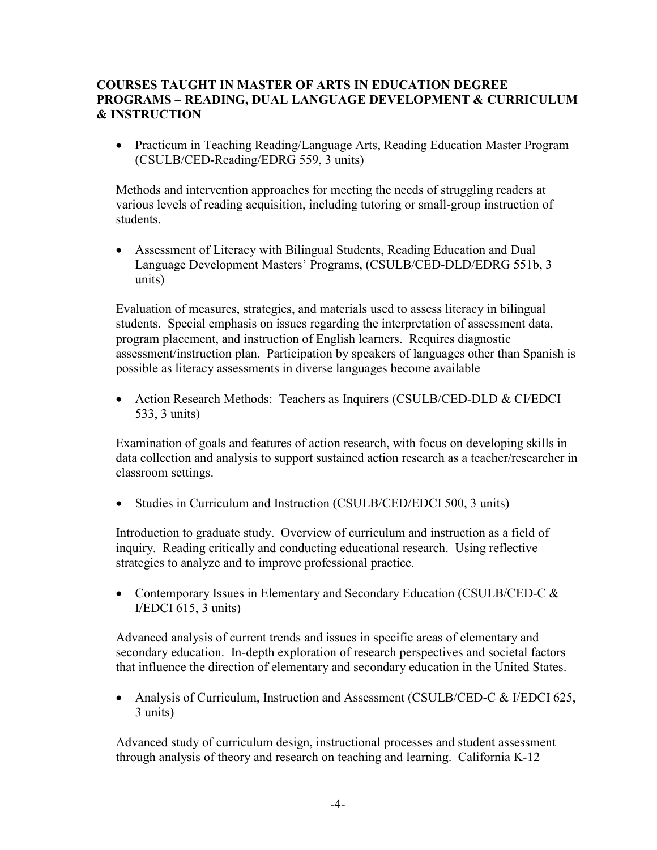### **COURSES TAUGHT IN MASTER OF ARTS IN EDUCATION DEGREE PROGRAMS – READING, DUAL LANGUAGE DEVELOPMENT & CURRICULUM & INSTRUCTION**

• Practicum in Teaching Reading/Language Arts, Reading Education Master Program (CSULB/CED-Reading/EDRG 559, 3 units)

Methods and intervention approaches for meeting the needs of struggling readers at various levels of reading acquisition, including tutoring or small-group instruction of students.

• Assessment of Literacy with Bilingual Students, Reading Education and Dual Language Development Masters' Programs, (CSULB/CED-DLD/EDRG 551b, 3 units)

Evaluation of measures, strategies, and materials used to assess literacy in bilingual students. Special emphasis on issues regarding the interpretation of assessment data, program placement, and instruction of English learners. Requires diagnostic assessment/instruction plan. Participation by speakers of languages other than Spanish is possible as literacy assessments in diverse languages become available

• Action Research Methods: Teachers as Inquirers (CSULB/CED-DLD & CI/EDCI 533, 3 units)

Examination of goals and features of action research, with focus on developing skills in data collection and analysis to support sustained action research as a teacher/researcher in classroom settings.

• Studies in Curriculum and Instruction (CSULB/CED/EDCI 500, 3 units)

Introduction to graduate study. Overview of curriculum and instruction as a field of inquiry. Reading critically and conducting educational research. Using reflective strategies to analyze and to improve professional practice.

• Contemporary Issues in Elementary and Secondary Education (CSULB/CED-C & I/EDCI 615, 3 units)

Advanced analysis of current trends and issues in specific areas of elementary and secondary education. In-depth exploration of research perspectives and societal factors that influence the direction of elementary and secondary education in the United States.

• Analysis of Curriculum, Instruction and Assessment (CSULB/CED-C & I/EDCI 625, 3 units)

Advanced study of curriculum design, instructional processes and student assessment through analysis of theory and research on teaching and learning. California K-12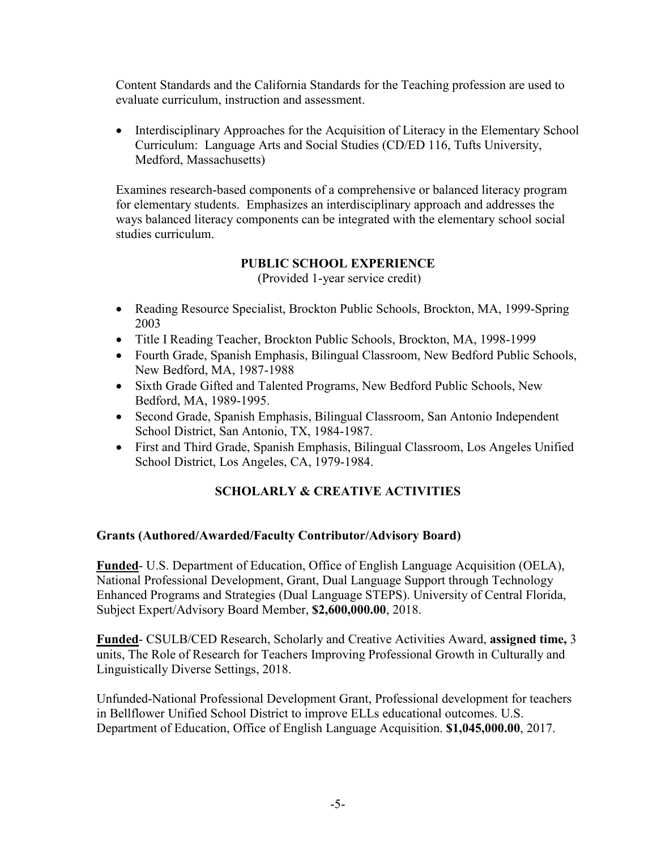Content Standards and the California Standards for the Teaching profession are used to evaluate curriculum, instruction and assessment.

• Interdisciplinary Approaches for the Acquisition of Literacy in the Elementary School Curriculum: Language Arts and Social Studies (CD/ED 116, Tufts University, Medford, Massachusetts)

Examines research-based components of a comprehensive or balanced literacy program for elementary students. Emphasizes an interdisciplinary approach and addresses the ways balanced literacy components can be integrated with the elementary school social studies curriculum.

# **PUBLIC SCHOOL EXPERIENCE**

(Provided 1-year service credit)

- Reading Resource Specialist, Brockton Public Schools, Brockton, MA, 1999-Spring 2003
- Title I Reading Teacher, Brockton Public Schools, Brockton, MA, 1998-1999
- Fourth Grade, Spanish Emphasis, Bilingual Classroom, New Bedford Public Schools, New Bedford, MA, 1987-1988
- Sixth Grade Gifted and Talented Programs, New Bedford Public Schools, New Bedford, MA, 1989-1995.
- Second Grade, Spanish Emphasis, Bilingual Classroom, San Antonio Independent School District, San Antonio, TX, 1984-1987.
- First and Third Grade, Spanish Emphasis, Bilingual Classroom, Los Angeles Unified School District, Los Angeles, CA, 1979-1984.

# **SCHOLARLY & CREATIVE ACTIVITIES**

#### **Grants (Authored/Awarded/Faculty Contributor/Advisory Board)**

**Funded**- U.S. Department of Education, Office of English Language Acquisition (OELA), National Professional Development, Grant, Dual Language Support through Technology Enhanced Programs and Strategies (Dual Language STEPS). University of Central Florida, Subject Expert/Advisory Board Member, **\$2,600,000.00**, 2018.

**Funded**- CSULB/CED Research, Scholarly and Creative Activities Award, **assigned time,** 3 units, The Role of Research for Teachers Improving Professional Growth in Culturally and Linguistically Diverse Settings, 2018.

Unfunded-National Professional Development Grant, Professional development for teachers in Bellflower Unified School District to improve ELLs educational outcomes. U.S. Department of Education, Office of English Language Acquisition. **\$1,045,000.00**, 2017.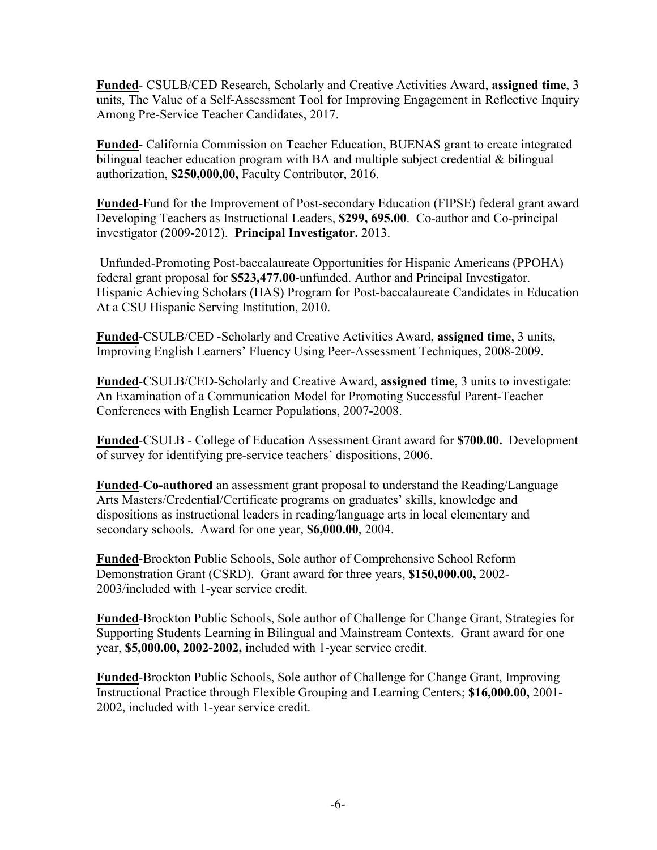**Funded**- CSULB/CED Research, Scholarly and Creative Activities Award, **assigned time**, 3 units, The Value of a Self-Assessment Tool for Improving Engagement in Reflective Inquiry Among Pre-Service Teacher Candidates, 2017.

**Funded**- California Commission on Teacher Education, BUENAS grant to create integrated bilingual teacher education program with BA and multiple subject credential  $\&$  bilingual authorization, **\$250,000,00,** Faculty Contributor, 2016.

**Funded**-Fund for the Improvement of Post-secondary Education (FIPSE) federal grant award Developing Teachers as Instructional Leaders, **\$299, 695.00**. Co-author and Co-principal investigator (2009-2012). **Principal Investigator.** 2013.

Unfunded-Promoting Post-baccalaureate Opportunities for Hispanic Americans (PPOHA) federal grant proposal for **\$523,477.00**-unfunded. Author and Principal Investigator. Hispanic Achieving Scholars (HAS) Program for Post-baccalaureate Candidates in Education At a CSU Hispanic Serving Institution, 2010.

**Funded**-CSULB/CED -Scholarly and Creative Activities Award, **assigned time**, 3 units, Improving English Learners' Fluency Using Peer-Assessment Techniques, 2008-2009.

**Funded**-CSULB/CED-Scholarly and Creative Award, **assigned time**, 3 units to investigate: An Examination of a Communication Model for Promoting Successful Parent-Teacher Conferences with English Learner Populations, 2007-2008.

**Funded**-CSULB - College of Education Assessment Grant award for **\$700.00.** Development of survey for identifying pre-service teachers' dispositions, 2006.

**Funded**-**Co-authored** an assessment grant proposal to understand the Reading/Language Arts Masters/Credential/Certificate programs on graduates' skills, knowledge and dispositions as instructional leaders in reading/language arts in local elementary and secondary schools. Award for one year, **\$6,000.00**, 2004.

**Funded**-Brockton Public Schools, Sole author of Comprehensive School Reform Demonstration Grant (CSRD). Grant award for three years, **\$150,000.00,** 2002- 2003/included with 1-year service credit.

**Funded**-Brockton Public Schools, Sole author of Challenge for Change Grant, Strategies for Supporting Students Learning in Bilingual and Mainstream Contexts. Grant award for one year, **\$5,000.00, 2002-2002,** included with 1-year service credit.

**Funded**-Brockton Public Schools, Sole author of Challenge for Change Grant, Improving Instructional Practice through Flexible Grouping and Learning Centers; **\$16,000.00,** 2001- 2002, included with 1-year service credit.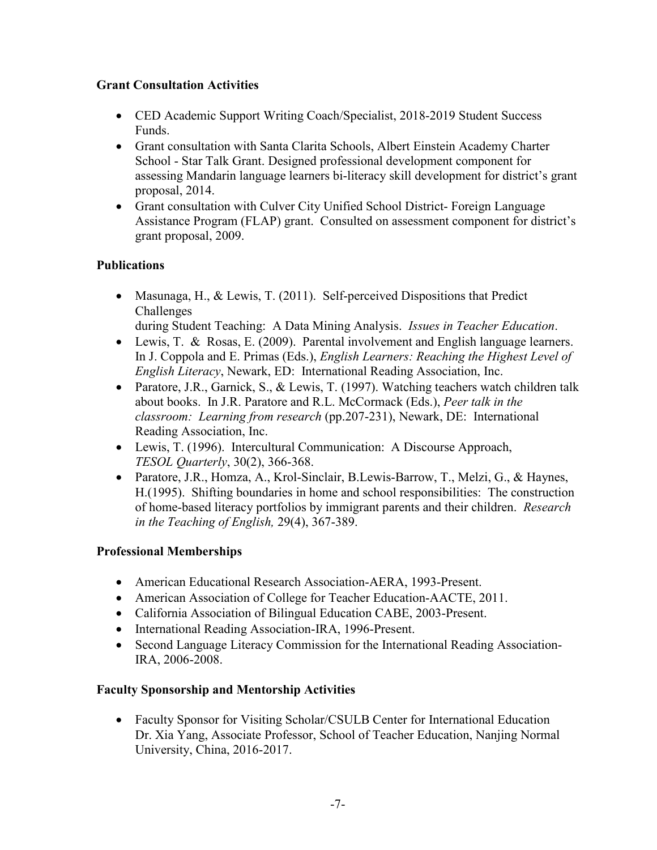### **Grant Consultation Activities**

- CED Academic Support Writing Coach/Specialist, 2018-2019 Student Success Funds.
- Grant consultation with Santa Clarita Schools, Albert Einstein Academy Charter School - Star Talk Grant. Designed professional development component for assessing Mandarin language learners bi-literacy skill development for district's grant proposal, 2014.
- Grant consultation with Culver City Unified School District- Foreign Language Assistance Program (FLAP) grant. Consulted on assessment component for district's grant proposal, 2009.

# **Publications**

- Masunaga, H., & Lewis, T. (2011). Self-perceived Dispositions that Predict Challenges
	- during Student Teaching: A Data Mining Analysis. *Issues in Teacher Education*.
- Lewis, T. & Rosas, E. (2009). Parental involvement and English language learners. In J. Coppola and E. Primas (Eds.), *English Learners: Reaching the Highest Level of English Literacy*, Newark, ED: International Reading Association, Inc.
- Paratore, J.R., Garnick, S., & Lewis, T. (1997). Watching teachers watch children talk about books. In J.R. Paratore and R.L. McCormack (Eds.), *Peer talk in the classroom: Learning from research* (pp.207-231), Newark, DE: International Reading Association, Inc.
- Lewis, T. (1996). Intercultural Communication: A Discourse Approach, *TESOL Quarterly*, 30(2), 366-368.
- Paratore, J.R., Homza, A., Krol-Sinclair, B.Lewis-Barrow, T., Melzi, G., & Haynes, H.(1995). Shifting boundaries in home and school responsibilities: The construction of home-based literacy portfolios by immigrant parents and their children. *Research in the Teaching of English,* 29(4), 367-389.

# **Professional Memberships**

- American Educational Research Association-AERA, 1993-Present.
- American Association of College for Teacher Education-AACTE, 2011.
- California Association of Bilingual Education CABE, 2003-Present.
- International Reading Association-IRA, 1996-Present.
- Second Language Literacy Commission for the International Reading Association-IRA, 2006-2008.

# **Faculty Sponsorship and Mentorship Activities**

• Faculty Sponsor for Visiting Scholar/CSULB Center for International Education Dr. Xia Yang, Associate Professor, School of Teacher Education, Nanjing Normal University, China, 2016-2017.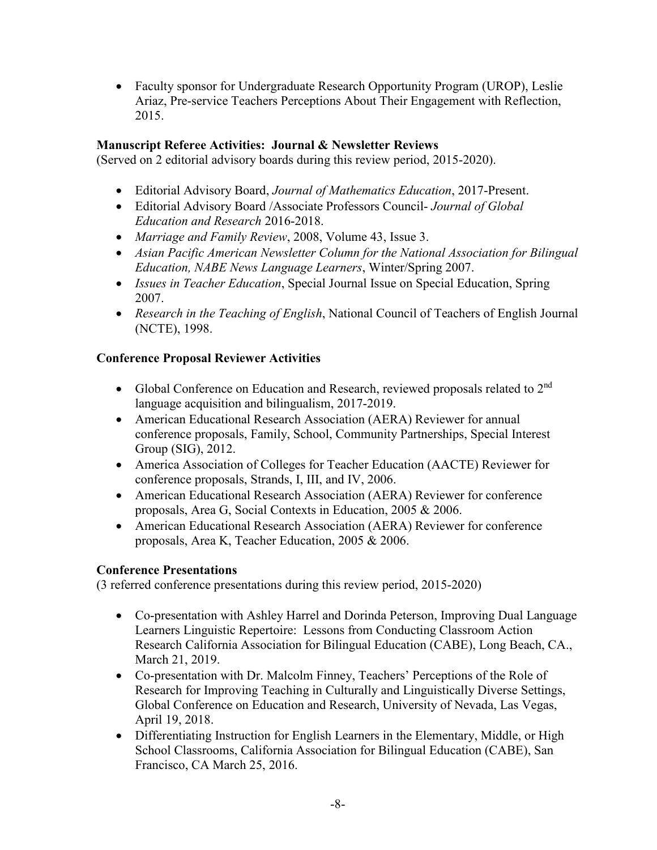• Faculty sponsor for Undergraduate Research Opportunity Program (UROP), Leslie Ariaz, Pre-service Teachers Perceptions About Their Engagement with Reflection, 2015.

### **Manuscript Referee Activities: Journal & Newsletter Reviews**

(Served on 2 editorial advisory boards during this review period, 2015-2020).

- Editorial Advisory Board, *Journal of Mathematics Education*, 2017-Present.
- Editorial Advisory Board /Associate Professors Council- *Journal of Global Education and Research* 2016-2018.
- *Marriage and Family Review*, 2008, Volume 43, Issue 3.
- *Asian Pacific American Newsletter Column for the National Association for Bilingual Education, NABE News Language Learners*, Winter/Spring 2007.
- *Issues in Teacher Education*, Special Journal Issue on Special Education, Spring 2007.
- *Research in the Teaching of English*, National Council of Teachers of English Journal (NCTE), 1998.

### **Conference Proposal Reviewer Activities**

- Global Conference on Education and Research, reviewed proposals related to  $2<sup>nd</sup>$ language acquisition and bilingualism, 2017-2019.
- American Educational Research Association (AERA) Reviewer for annual conference proposals, Family, School, Community Partnerships, Special Interest Group (SIG), 2012.
- America Association of Colleges for Teacher Education (AACTE) Reviewer for conference proposals, Strands, I, III, and IV, 2006.
- American Educational Research Association (AERA) Reviewer for conference proposals, Area G, Social Contexts in Education, 2005 & 2006.
- American Educational Research Association (AERA) Reviewer for conference proposals, Area K, Teacher Education, 2005 & 2006.

### **Conference Presentations**

(3 referred conference presentations during this review period, 2015-2020)

- Co-presentation with Ashley Harrel and Dorinda Peterson, Improving Dual Language Learners Linguistic Repertoire: Lessons from Conducting Classroom Action Research California Association for Bilingual Education (CABE), Long Beach, CA., March 21, 2019.
- Co-presentation with Dr. Malcolm Finney, Teachers' Perceptions of the Role of Research for Improving Teaching in Culturally and Linguistically Diverse Settings, Global Conference on Education and Research, University of Nevada, Las Vegas, April 19, 2018.
- Differentiating Instruction for English Learners in the Elementary, Middle, or High School Classrooms, California Association for Bilingual Education (CABE), San Francisco, CA March 25, 2016.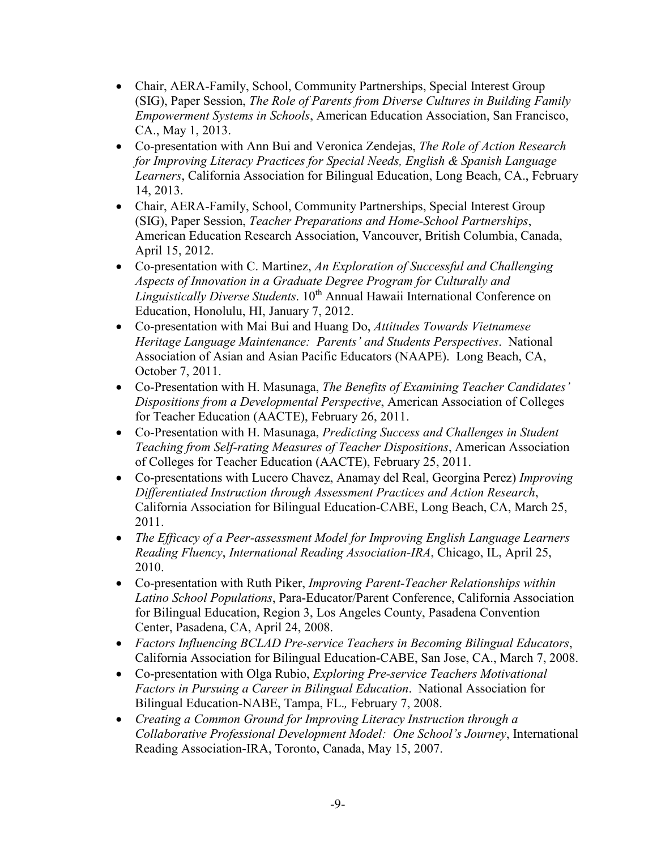- Chair, AERA-Family, School, Community Partnerships, Special Interest Group (SIG), Paper Session, *The Role of Parents from Diverse Cultures in Building Family Empowerment Systems in Schools*, American Education Association, San Francisco, CA., May 1, 2013.
- Co-presentation with Ann Bui and Veronica Zendejas, *The Role of Action Research for Improving Literacy Practices for Special Needs, English & Spanish Language Learners*, California Association for Bilingual Education, Long Beach, CA., February 14, 2013.
- Chair, AERA-Family, School, Community Partnerships, Special Interest Group (SIG), Paper Session, *Teacher Preparations and Home-School Partnerships*, American Education Research Association, Vancouver, British Columbia, Canada, April 15, 2012.
- Co-presentation with C. Martinez, *An Exploration of Successful and Challenging Aspects of Innovation in a Graduate Degree Program for Culturally and Linguistically Diverse Students*. 10th Annual Hawaii International Conference on Education, Honolulu, HI, January 7, 2012.
- Co-presentation with Mai Bui and Huang Do, *Attitudes Towards Vietnamese Heritage Language Maintenance: Parents' and Students Perspectives*. National Association of Asian and Asian Pacific Educators (NAAPE). Long Beach, CA, October 7, 2011.
- Co-Presentation with H. Masunaga, *The Benefits of Examining Teacher Candidates' Dispositions from a Developmental Perspective*, American Association of Colleges for Teacher Education (AACTE), February 26, 2011.
- Co-Presentation with H. Masunaga, *Predicting Success and Challenges in Student Teaching from Self-rating Measures of Teacher Dispositions*, American Association of Colleges for Teacher Education (AACTE), February 25, 2011.
- Co-presentations with Lucero Chavez, Anamay del Real, Georgina Perez) *Improving Differentiated Instruction through Assessment Practices and Action Research*, California Association for Bilingual Education-CABE, Long Beach, CA, March 25, 2011.
- *The Efficacy of a Peer-assessment Model for Improving English Language Learners Reading Fluency*, *International Reading Association-IRA*, Chicago, IL, April 25, 2010.
- Co-presentation with Ruth Piker, *Improving Parent-Teacher Relationships within Latino School Populations*, Para-Educator/Parent Conference, California Association for Bilingual Education, Region 3, Los Angeles County, Pasadena Convention Center, Pasadena, CA, April 24, 2008.
- *Factors Influencing BCLAD Pre-service Teachers in Becoming Bilingual Educators*, California Association for Bilingual Education-CABE, San Jose, CA., March 7, 2008.
- Co-presentation with Olga Rubio, *Exploring Pre-service Teachers Motivational Factors in Pursuing a Career in Bilingual Education*. National Association for Bilingual Education-NABE, Tampa, FL.*,* February 7, 2008.
- *Creating a Common Ground for Improving Literacy Instruction through a Collaborative Professional Development Model: One School's Journey*, International Reading Association-IRA, Toronto, Canada, May 15, 2007.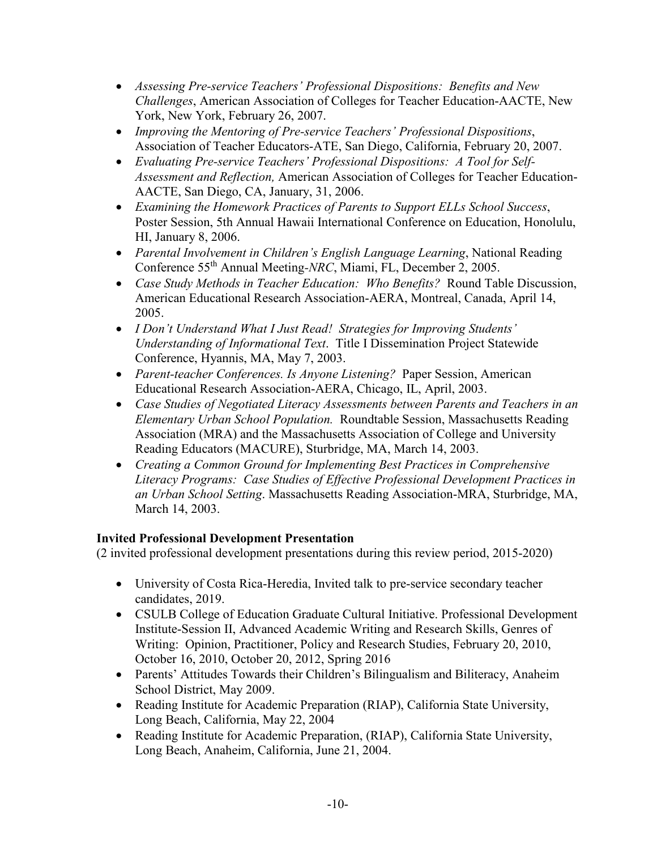- *Assessing Pre-service Teachers' Professional Dispositions: Benefits and New Challenges*, American Association of Colleges for Teacher Education-AACTE, New York, New York, February 26, 2007.
- *Improving the Mentoring of Pre-service Teachers' Professional Dispositions*, Association of Teacher Educators-ATE, San Diego, California, February 20, 2007.
- *Evaluating Pre-service Teachers' Professional Dispositions: A Tool for Self-Assessment and Reflection,* American Association of Colleges for Teacher Education-AACTE, San Diego, CA, January, 31, 2006.
- *Examining the Homework Practices of Parents to Support ELLs School Success*, Poster Session, 5th Annual Hawaii International Conference on Education, Honolulu, HI, January 8, 2006.
- *Parental Involvement in Children's English Language Learning*, National Reading Conference 55th Annual Meeting*-NRC*, Miami, FL, December 2, 2005.
- *Case Study Methods in Teacher Education: Who Benefits?* Round Table Discussion, American Educational Research Association-AERA, Montreal, Canada, April 14, 2005.
- *I Don't Understand What I Just Read! Strategies for Improving Students' Understanding of Informational Text*. Title I Dissemination Project Statewide Conference, Hyannis, MA, May 7, 2003.
- *Parent-teacher Conferences. Is Anyone Listening?* Paper Session, American Educational Research Association-AERA, Chicago, IL, April, 2003.
- *Case Studies of Negotiated Literacy Assessments between Parents and Teachers in an Elementary Urban School Population.* Roundtable Session, Massachusetts Reading Association (MRA) and the Massachusetts Association of College and University Reading Educators (MACURE), Sturbridge, MA, March 14, 2003.
- *Creating a Common Ground for Implementing Best Practices in Comprehensive Literacy Programs: Case Studies of Effective Professional Development Practices in an Urban School Setting*. Massachusetts Reading Association-MRA, Sturbridge, MA, March 14, 2003.

# **Invited Professional Development Presentation**

(2 invited professional development presentations during this review period, 2015-2020)

- University of Costa Rica-Heredia, Invited talk to pre-service secondary teacher candidates, 2019.
- CSULB College of Education Graduate Cultural Initiative. Professional Development Institute-Session II, Advanced Academic Writing and Research Skills, Genres of Writing: Opinion, Practitioner, Policy and Research Studies, February 20, 2010, October 16, 2010, October 20, 2012, Spring 2016
- Parents' Attitudes Towards their Children's Bilingualism and Biliteracy, Anaheim School District, May 2009.
- Reading Institute for Academic Preparation (RIAP), California State University, Long Beach, California, May 22, 2004
- Reading Institute for Academic Preparation, (RIAP), California State University, Long Beach, Anaheim, California, June 21, 2004.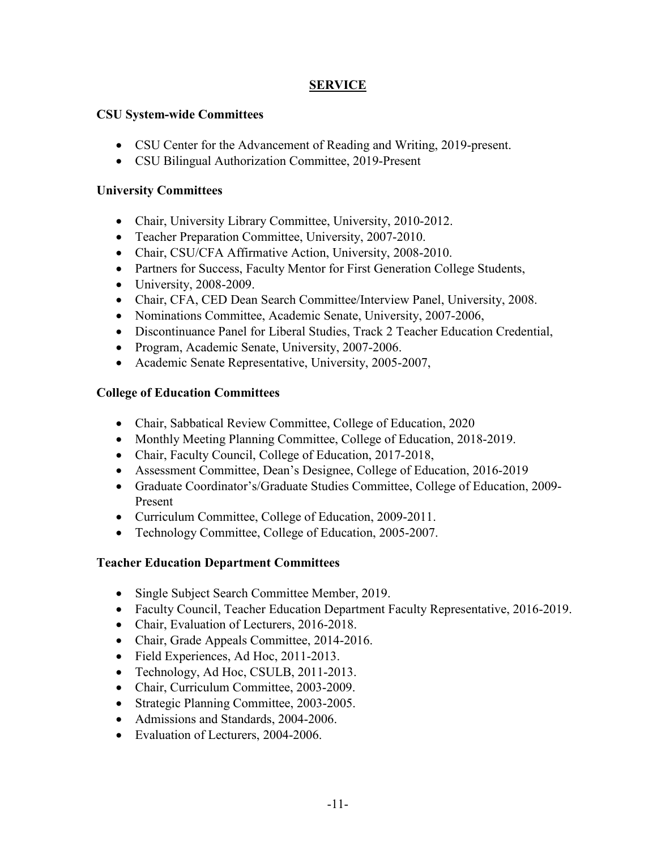### **SERVICE**

### **CSU System-wide Committees**

- CSU Center for the Advancement of Reading and Writing, 2019-present.
- CSU Bilingual Authorization Committee, 2019-Present

#### **University Committees**

- Chair, University Library Committee, University, 2010-2012.
- Teacher Preparation Committee, University, 2007-2010.
- Chair, CSU/CFA Affirmative Action, University, 2008-2010.
- Partners for Success, Faculty Mentor for First Generation College Students,
- University, 2008-2009.
- Chair, CFA, CED Dean Search Committee/Interview Panel, University, 2008.
- Nominations Committee, Academic Senate, University, 2007-2006,
- Discontinuance Panel for Liberal Studies, Track 2 Teacher Education Credential,
- Program, Academic Senate, University, 2007-2006.
- Academic Senate Representative, University, 2005-2007,

### **College of Education Committees**

- Chair, Sabbatical Review Committee, College of Education, 2020
- Monthly Meeting Planning Committee, College of Education, 2018-2019.
- Chair, Faculty Council, College of Education, 2017-2018,
- Assessment Committee, Dean's Designee, College of Education, 2016-2019
- Graduate Coordinator's/Graduate Studies Committee, College of Education, 2009- Present
- Curriculum Committee, College of Education, 2009-2011.
- Technology Committee, College of Education, 2005-2007.

### **Teacher Education Department Committees**

- Single Subject Search Committee Member, 2019.
- Faculty Council, Teacher Education Department Faculty Representative, 2016-2019.
- Chair, Evaluation of Lecturers, 2016-2018.
- Chair, Grade Appeals Committee, 2014-2016.
- Field Experiences, Ad Hoc, 2011-2013.
- Technology, Ad Hoc, CSULB, 2011-2013.
- Chair, Curriculum Committee, 2003-2009.
- Strategic Planning Committee, 2003-2005.
- Admissions and Standards, 2004-2006.
- Evaluation of Lecturers, 2004-2006.